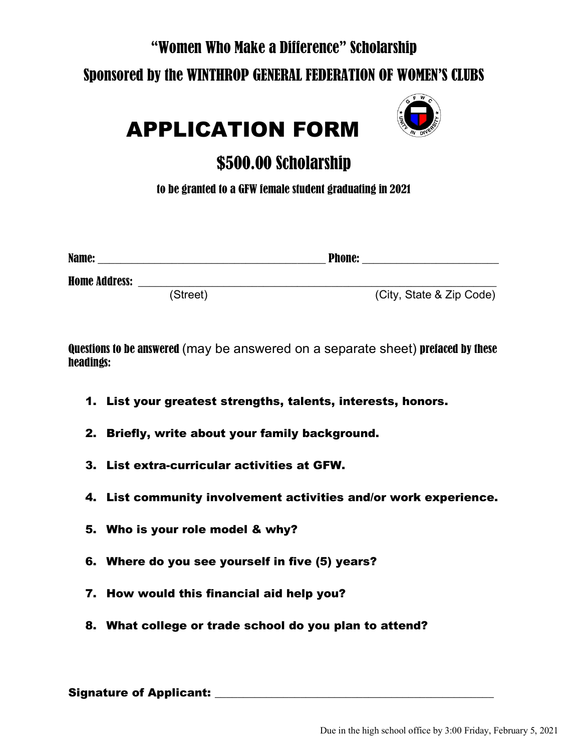### "Women Who Make a Difference" Scholarship

### Sponsored by the WINTHROP GENERAL FEDERATION OF WOMEN'S CLUBS



# APPLICATION FORM

## \$500.00 Scholarship

to be granted to a GFW female student graduating in 2021

| Name:                |          | <b>Phone:</b> |                          |
|----------------------|----------|---------------|--------------------------|
| <b>Home Address:</b> |          |               |                          |
|                      | (Street) |               | (City, State & Zip Code) |

Questions to be answered (may be answered on a separate sheet) prefaced by these headings:

- 1. List your greatest strengths, talents, interests, honors.
- 2. Briefly, write about your family background.
- 3. List extra-curricular activities at GFW.
- 4. List community involvement activities and/or work experience.
- 5. Who is your role model & why?
- 6. Where do you see yourself in five (5) years?
- 7. How would this financial aid help you?
- 8. What college or trade school do you plan to attend?

Signature of Applicant: